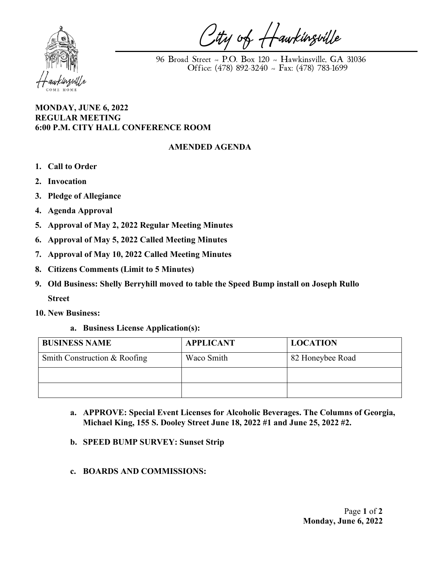

City of Hawkinsville

 96 Broad Street ~ P.O. Box 120 ~ Hawkinsville, GA 31036 Office: (478) 892-3240 ~ Fax: (478) 783-1699

## **MONDAY, JUNE 6, 2022 REGULAR MEETING 6:00 P.M. CITY HALL CONFERENCE ROOM**

## **AMENDED AGENDA**

- **1. Call to Order**
- **2. Invocation**
- **3. Pledge of Allegiance**
- **4. Agenda Approval**
- **5. Approval of May 2, 2022 Regular Meeting Minutes**
- **6. Approval of May 5, 2022 Called Meeting Minutes**
- **7. Approval of May 10, 2022 Called Meeting Minutes**
- **8. Citizens Comments (Limit to 5 Minutes)**
- **9. Old Business: Shelly Berryhill moved to table the Speed Bump install on Joseph Rullo Street**
- **10. New Business:**
	- **a. Business License Application(s):**

| <b>BUSINESS NAME</b>         | <b>APPLICANT</b> | <b>LOCATION</b>  |
|------------------------------|------------------|------------------|
| Smith Construction & Roofing | Waco Smith       | 82 Honeybee Road |
|                              |                  |                  |
|                              |                  |                  |

- **a. APPROVE: Special Event Licenses for Alcoholic Beverages. The Columns of Georgia, Michael King, 155 S. Dooley Street June 18, 2022 #1 and June 25, 2022 #2.**
- **b. SPEED BUMP SURVEY: Sunset Strip**
- **c. BOARDS AND COMMISSIONS:**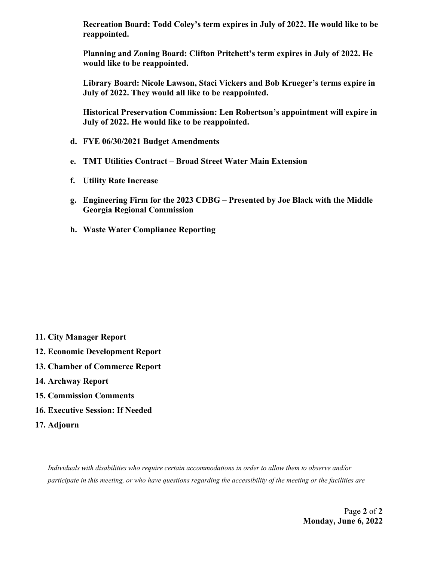**Recreation Board: Todd Coley's term expires in July of 2022. He would like to be reappointed.**

**Planning and Zoning Board: Clifton Pritchett's term expires in July of 2022. He would like to be reappointed.**

**Library Board: Nicole Lawson, Staci Vickers and Bob Krueger's terms expire in July of 2022. They would all like to be reappointed.**

**Historical Preservation Commission: Len Robertson's appointment will expire in July of 2022. He would like to be reappointed.**

- **d. FYE 06/30/2021 Budget Amendments**
- **e. TMT Utilities Contract – Broad Street Water Main Extension**
- **f. Utility Rate Increase**
- **g. Engineering Firm for the 2023 CDBG – Presented by Joe Black with the Middle Georgia Regional Commission**
- **h. Waste Water Compliance Reporting**

- **11. City Manager Report**
- **12. Economic Development Report**
- **13. Chamber of Commerce Report**
- **14. Archway Report**
- **15. Commission Comments**
- **16. Executive Session: If Needed**
- **17. Adjourn**

*Individuals with disabilities who require certain accommodations in order to allow them to observe and/or participate in this meeting, or who have questions regarding the accessibility of the meeting or the facilities are*